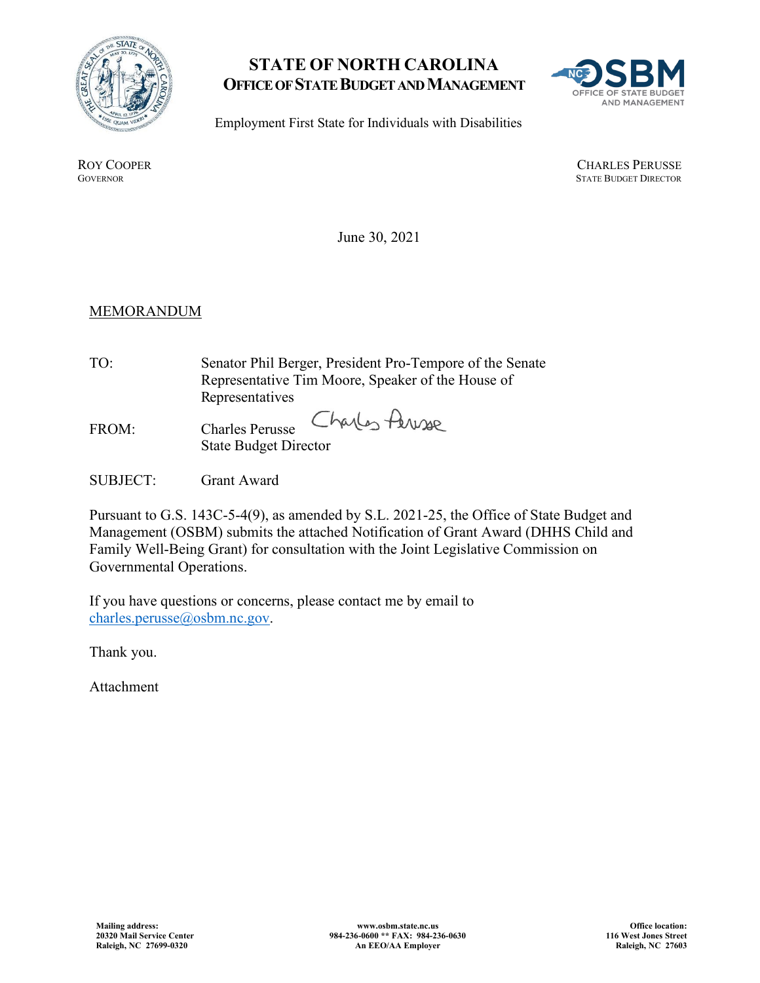

## **STATE OF NORTH CAROLINA OFFICE OF STATE BUDGET AND MANAGEMENT**



Employment First State for Individuals with Disabilities

ROY COOPER<br>GOVERNOR CHARLES PERUSSE<br>GOVERNOR STATE BUDGET DIRECTOR **STATE BUDGET DIRECTOR** 

June 30, 2021

## **MEMORANDUM**

- TO: Senator Phil Berger, President Pro-Tempore of the Senate Representative Tim Moore, Speaker of the House of Representatives
- Charles Persone FROM: Charles Perusse State Budget Director
- SUBJECT: Grant Award

Pursuant to G.S. 143C-5-4(9), as amended by S.L. 2021-25, the Office of State Budget and Management (OSBM) submits the attached Notification of Grant Award (DHHS Child and Family Well-Being Grant) for consultation with the Joint Legislative Commission on Governmental Operations.

If you have questions or concerns, please contact me by email to [charles.perusse@osbm.nc.gov.](mailto:charles.perusse@osbm.nc.gov)

Thank you.

Attachment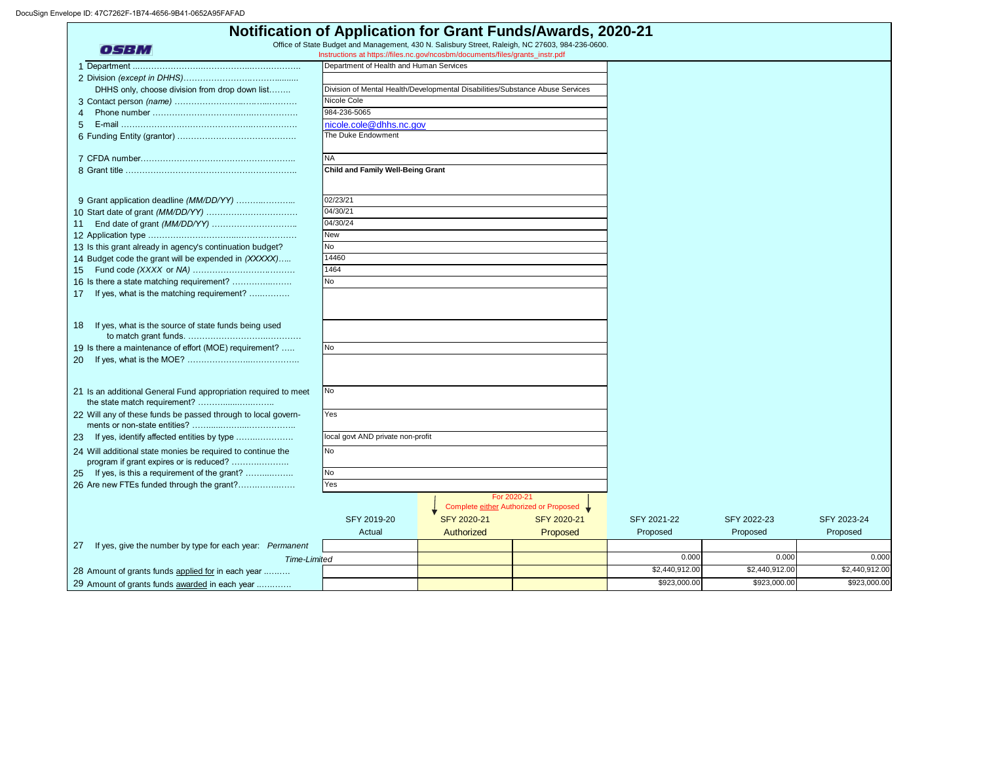| <b>Notification of Application for Grant Funds/Awards, 2020-21</b>                                                                                                                              |                                                                               |             |                                        |                |                |                |  |  |
|-------------------------------------------------------------------------------------------------------------------------------------------------------------------------------------------------|-------------------------------------------------------------------------------|-------------|----------------------------------------|----------------|----------------|----------------|--|--|
| Office of State Budget and Management, 430 N. Salisbury Street, Raleigh, NC 27603, 984-236-0600.<br><b>OSBM</b><br>Instructions at https://files.nc.gov/ncosbm/documents/files/grants_instr.pdf |                                                                               |             |                                        |                |                |                |  |  |
|                                                                                                                                                                                                 | Department of Health and Human Services                                       |             |                                        |                |                |                |  |  |
|                                                                                                                                                                                                 |                                                                               |             |                                        |                |                |                |  |  |
| DHHS only, choose division from drop down list                                                                                                                                                  | Division of Mental Health/Developmental Disabilities/Substance Abuse Services |             |                                        |                |                |                |  |  |
|                                                                                                                                                                                                 | Nicole Cole                                                                   |             |                                        |                |                |                |  |  |
|                                                                                                                                                                                                 | 984-236-5065                                                                  |             |                                        |                |                |                |  |  |
|                                                                                                                                                                                                 | nicole.cole@dhhs.nc.gov                                                       |             |                                        |                |                |                |  |  |
|                                                                                                                                                                                                 | The Duke Endowment                                                            |             |                                        |                |                |                |  |  |
|                                                                                                                                                                                                 | <b>NA</b>                                                                     |             |                                        |                |                |                |  |  |
|                                                                                                                                                                                                 | <b>Child and Family Well-Being Grant</b>                                      |             |                                        |                |                |                |  |  |
| 9 Grant application deadline (MM/DD/YY)                                                                                                                                                         | 02/23/21                                                                      |             |                                        |                |                |                |  |  |
|                                                                                                                                                                                                 | 04/30/21                                                                      |             |                                        |                |                |                |  |  |
| 11                                                                                                                                                                                              | 04/30/24                                                                      |             |                                        |                |                |                |  |  |
|                                                                                                                                                                                                 | New                                                                           |             |                                        |                |                |                |  |  |
| 13 Is this grant already in agency's continuation budget?                                                                                                                                       | <b>No</b>                                                                     |             |                                        |                |                |                |  |  |
| 14 Budget code the grant will be expended in (XXXXX)                                                                                                                                            | 14460                                                                         |             |                                        |                |                |                |  |  |
| 15                                                                                                                                                                                              | 1464                                                                          |             |                                        |                |                |                |  |  |
| 16 Is there a state matching requirement?                                                                                                                                                       | <b>No</b>                                                                     |             |                                        |                |                |                |  |  |
| If yes, what is the matching requirement?<br>17                                                                                                                                                 |                                                                               |             |                                        |                |                |                |  |  |
|                                                                                                                                                                                                 |                                                                               |             |                                        |                |                |                |  |  |
| If yes, what is the source of state funds being used<br>18                                                                                                                                      |                                                                               |             |                                        |                |                |                |  |  |
| 19 Is there a maintenance of effort (MOE) requirement?                                                                                                                                          | <b>No</b>                                                                     |             |                                        |                |                |                |  |  |
| <b>20</b>                                                                                                                                                                                       |                                                                               |             |                                        |                |                |                |  |  |
|                                                                                                                                                                                                 |                                                                               |             |                                        |                |                |                |  |  |
| 21 Is an additional General Fund appropriation required to meet                                                                                                                                 | <b>No</b>                                                                     |             |                                        |                |                |                |  |  |
| 22 Will any of these funds be passed through to local govern-                                                                                                                                   | Yes                                                                           |             |                                        |                |                |                |  |  |
| 23 If yes, identify affected entities by type                                                                                                                                                   | local govt AND private non-profit                                             |             |                                        |                |                |                |  |  |
| 24 Will additional state monies be required to continue the<br>program if grant expires or is reduced?                                                                                          | No                                                                            |             |                                        |                |                |                |  |  |
| 25 If yes, is this a requirement of the grant?                                                                                                                                                  | No                                                                            |             |                                        |                |                |                |  |  |
| 26 Are new FTEs funded through the grant?                                                                                                                                                       | Yes                                                                           |             |                                        |                |                |                |  |  |
|                                                                                                                                                                                                 |                                                                               | For 2020-21 |                                        |                |                |                |  |  |
|                                                                                                                                                                                                 |                                                                               |             | Complete either Authorized or Proposed |                |                |                |  |  |
|                                                                                                                                                                                                 | SFY 2019-20                                                                   | SFY 2020-21 | SFY 2020-21                            | SFY 2021-22    | SFY 2022-23    | SFY 2023-24    |  |  |
|                                                                                                                                                                                                 | Actual                                                                        | Authorized  | Proposed                               | Proposed       | Proposed       | Proposed       |  |  |
| If yes, give the number by type for each year: Permanent<br>27                                                                                                                                  |                                                                               |             |                                        |                |                |                |  |  |
| Time-Limited                                                                                                                                                                                    |                                                                               |             |                                        | 0.000          | 0.000          | 0.000          |  |  |
| 28 Amount of grants funds applied for in each year                                                                                                                                              |                                                                               |             |                                        | \$2,440,912.00 | \$2,440,912.00 | \$2,440,912.00 |  |  |
| 29 Amount of grants funds awarded in each year                                                                                                                                                  |                                                                               |             |                                        | \$923,000.00   | \$923,000.00   | \$923,000.00   |  |  |